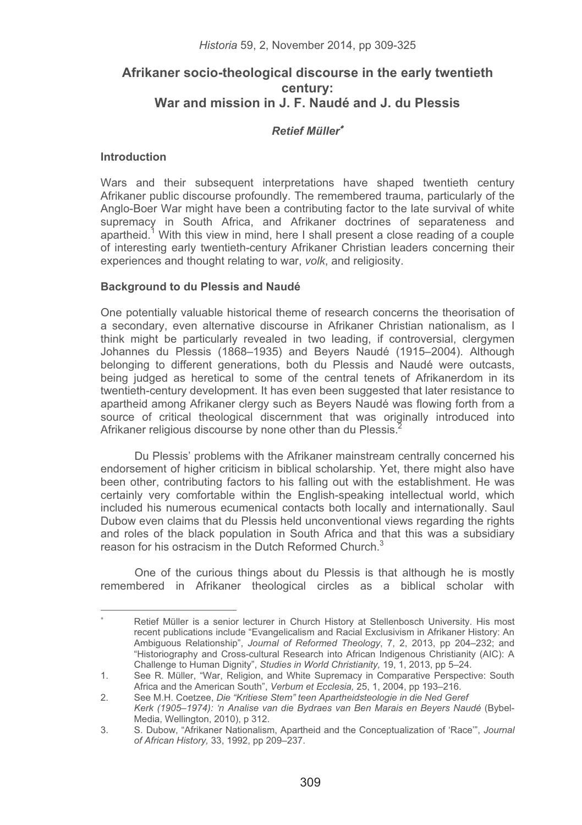# **Afrikaner socio-theological discourse in the early twentieth century: War and mission in J. F. Naudé and J. du Plessis**

# *Retief Müller*-

### **Introduction**

Wars and their subsequent interpretations have shaped twentieth century Afrikaner public discourse profoundly. The remembered trauma, particularly of the Anglo-Boer War might have been a contributing factor to the late survival of white supremacy in South Africa, and Afrikaner doctrines of separateness and apartheid.<sup>1</sup> With this view in mind, here I shall present a close reading of a couple of interesting early twentieth-century Afrikaner Christian leaders concerning their experiences and thought relating to war, *volk*, and religiosity.

### **Background to du Plessis and Naudé**

One potentially valuable historical theme of research concerns the theorisation of a secondary, even alternative discourse in Afrikaner Christian nationalism, as I think might be particularly revealed in two leading, if controversial, clergymen Johannes du Plessis (1868–1935) and Beyers Naudé (1915–2004). Although belonging to different generations, both du Plessis and Naudé were outcasts, being judged as heretical to some of the central tenets of Afrikanerdom in its twentieth-century development. It has even been suggested that later resistance to apartheid among Afrikaner clergy such as Beyers Naudé was flowing forth from a source of critical theological discernment that was originally introduced into Afrikaner religious discourse by none other than du Plessis.<sup>2</sup>

Du Plessis' problems with the Afrikaner mainstream centrally concerned his endorsement of higher criticism in biblical scholarship. Yet, there might also have been other, contributing factors to his falling out with the establishment. He was certainly very comfortable within the English-speaking intellectual world, which included his numerous ecumenical contacts both locally and internationally. Saul Dubow even claims that du Plessis held unconventional views regarding the rights and roles of the black population in South Africa and that this was a subsidiary reason for his ostracism in the Dutch Reformed Church.<sup>3</sup>

One of the curious things about du Plessis is that although he is mostly remembered in Afrikaner theological circles as a biblical scholar with

<sup>-</sup>-------------<br>\* Retief Müller is a senior lecturer in Church History at Stellenbosch University. His most recent publications include "Evangelicalism and Racial Exclusivism in Afrikaner History: An Ambiguous Relationship", *Journal of Reformed Theology*, 7, 2, 2013, pp 204–232; and "Historiography and Cross-cultural Research into African Indigenous Christianity (AIC): A Challenge to Human Dignity", *Studies in World Christianity,* 19, 1, 2013, pp 5–24.

<sup>1.</sup> See R. Müller, "War, Religion, and White Supremacy in Comparative Perspective: South Africa and the American South", *Verbum et Ecclesia,* 25, 1, 2004, pp 193–216.

<sup>2.</sup> See M.H. Coetzee, *Die "Kritiese Stem" teen Apartheidsteologie in die Ned Geref Kerk (1905*–*1974): 'n Analise van die Bydraes van Ben Marais en Beyers Naudé* (Bybel-Media, Wellington, 2010), p 312.

<sup>3.</sup> S. Dubow, "Afrikaner Nationalism, Apartheid and the Conceptualization of 'Race'", *Journal of African History,* 33, 1992, pp 209–237.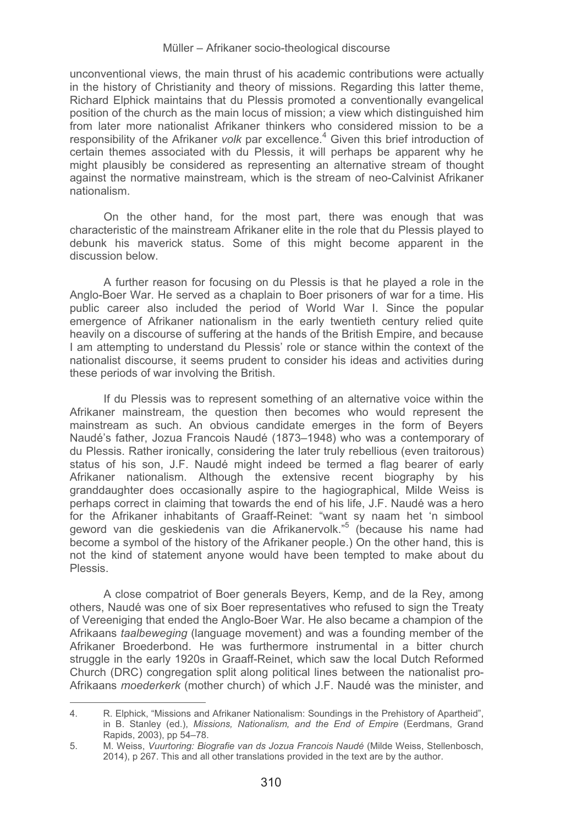unconventional views, the main thrust of his academic contributions were actually in the history of Christianity and theory of missions. Regarding this latter theme, Richard Elphick maintains that du Plessis promoted a conventionally evangelical position of the church as the main locus of mission; a view which distinguished him from later more nationalist Afrikaner thinkers who considered mission to be a responsibility of the Afrikaner *volk* par excellence.<sup>4</sup> Given this brief introduction of certain themes associated with du Plessis, it will perhaps be apparent why he might plausibly be considered as representing an alternative stream of thought against the normative mainstream, which is the stream of neo-Calvinist Afrikaner nationalism.

On the other hand, for the most part, there was enough that was characteristic of the mainstream Afrikaner elite in the role that du Plessis played to debunk his maverick status. Some of this might become apparent in the discussion below.

A further reason for focusing on du Plessis is that he played a role in the Anglo-Boer War. He served as a chaplain to Boer prisoners of war for a time. His public career also included the period of World War I. Since the popular emergence of Afrikaner nationalism in the early twentieth century relied quite heavily on a discourse of suffering at the hands of the British Empire, and because I am attempting to understand du Plessis' role or stance within the context of the nationalist discourse, it seems prudent to consider his ideas and activities during these periods of war involving the British.

If du Plessis was to represent something of an alternative voice within the Afrikaner mainstream, the question then becomes who would represent the mainstream as such. An obvious candidate emerges in the form of Beyers Naudé's father, Jozua Francois Naudé (1873–1948) who was a contemporary of du Plessis. Rather ironically, considering the later truly rebellious (even traitorous) status of his son, J.F. Naudé might indeed be termed a flag bearer of early Afrikaner nationalism. Although the extensive recent biography by his granddaughter does occasionally aspire to the hagiographical, Milde Weiss is perhaps correct in claiming that towards the end of his life, J.F. Naudé was a hero for the Afrikaner inhabitants of Graaff-Reinet: "want sy naam het 'n simbool geword van die geskiedenis van die Afrikanervolk."5 (because his name had become a symbol of the history of the Afrikaner people.) On the other hand, this is not the kind of statement anyone would have been tempted to make about du Plessis.

A close compatriot of Boer generals Beyers, Kemp, and de la Rey, among others, Naudé was one of six Boer representatives who refused to sign the Treaty of Vereeniging that ended the Anglo-Boer War. He also became a champion of the Afrikaans *taalbeweging* (language movement) and was a founding member of the Afrikaner Broederbond. He was furthermore instrumental in a bitter church struggle in the early 1920s in Graaff-Reinet, which saw the local Dutch Reformed Church (DRC) congregation split along political lines between the nationalist pro-Afrikaans *moederkerk* (mother church) of which J.F. Naudé was the minister, and

 $\pm$ ----------<br>4. R. Elphick, "Missions and Afrikaner Nationalism: Soundings in the Prehistory of Apartheid", in B. Stanley (ed.), *Missions, Nationalism, and the End of Empire* (Eerdmans, Grand Rapids, 2003), pp 54–78.

<sup>5.</sup> M. Weiss, *Vuurtoring: Biografie van ds Jozua Francois Naudé* (Milde Weiss, Stellenbosch, 2014), p 267. This and all other translations provided in the text are by the author.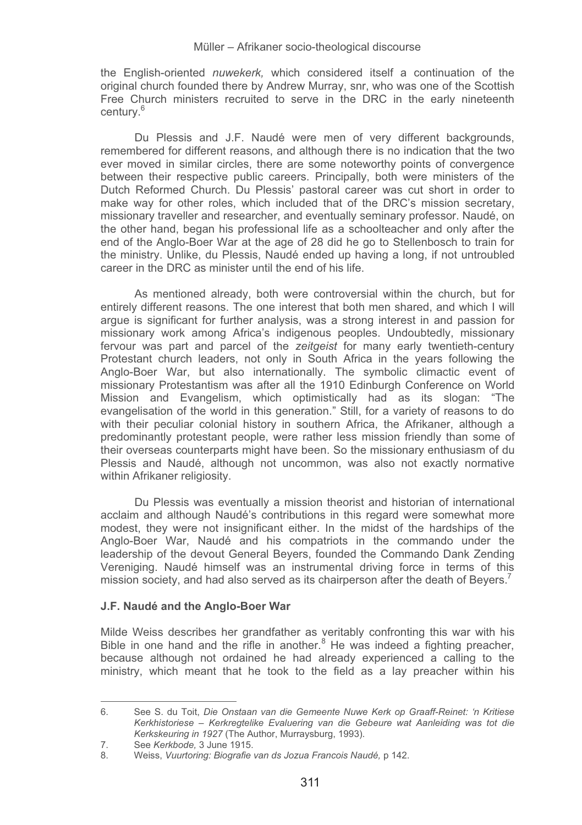the English-oriented *nuwekerk,* which considered itself a continuation of the original church founded there by Andrew Murray, snr, who was one of the Scottish Free Church ministers recruited to serve in the DRC in the early nineteenth century.<sup>6</sup>

Du Plessis and J.F. Naudé were men of very different backgrounds, remembered for different reasons, and although there is no indication that the two ever moved in similar circles, there are some noteworthy points of convergence between their respective public careers. Principally, both were ministers of the Dutch Reformed Church. Du Plessis' pastoral career was cut short in order to make way for other roles, which included that of the DRC's mission secretary, missionary traveller and researcher, and eventually seminary professor. Naudé, on the other hand, began his professional life as a schoolteacher and only after the end of the Anglo-Boer War at the age of 28 did he go to Stellenbosch to train for the ministry. Unlike, du Plessis, Naudé ended up having a long, if not untroubled career in the DRC as minister until the end of his life.

As mentioned already, both were controversial within the church, but for entirely different reasons. The one interest that both men shared, and which I will argue is significant for further analysis, was a strong interest in and passion for missionary work among Africa's indigenous peoples. Undoubtedly, missionary fervour was part and parcel of the *zeitgeist* for many early twentieth-century Protestant church leaders, not only in South Africa in the years following the Anglo-Boer War, but also internationally. The symbolic climactic event of missionary Protestantism was after all the 1910 Edinburgh Conference on World Mission and Evangelism, which optimistically had as its slogan: "The evangelisation of the world in this generation." Still, for a variety of reasons to do with their peculiar colonial history in southern Africa, the Afrikaner, although a predominantly protestant people, were rather less mission friendly than some of their overseas counterparts might have been. So the missionary enthusiasm of du Plessis and Naudé, although not uncommon, was also not exactly normative within Afrikaner religiosity.

Du Plessis was eventually a mission theorist and historian of international acclaim and although Naudé's contributions in this regard were somewhat more modest, they were not insignificant either. In the midst of the hardships of the Anglo-Boer War, Naudé and his compatriots in the commando under the leadership of the devout General Beyers, founded the Commando Dank Zending Vereniging. Naudé himself was an instrumental driving force in terms of this mission society, and had also served as its chairperson after the death of Beyers.<sup>7</sup>

### **J.F. Naudé and the Anglo-Boer War**

Milde Weiss describes her grandfather as veritably confronting this war with his Bible in one hand and the rifle in another. $8$  He was indeed a fighting preacher, because although not ordained he had already experienced a calling to the ministry, which meant that he took to the field as a lay preacher within his

<sup>-</sup>-------------<br>6. See S. du Toit, *Die Onstaan van die Gemeente Nuwe Kerk op Graaff-Reinet: 'n Kritiese Kerkhistoriese – Kerkregtelike Evaluering van die Gebeure wat Aanleiding was tot die Kerkskeuring in 1927* (The Author, Murraysburg, 1993).

<sup>7.</sup> See *Kerkbode,* 3 June 1915.

<sup>8.</sup> Weiss, *Vuurtoring: Biografie van ds Jozua Francois Naudé,* p 142.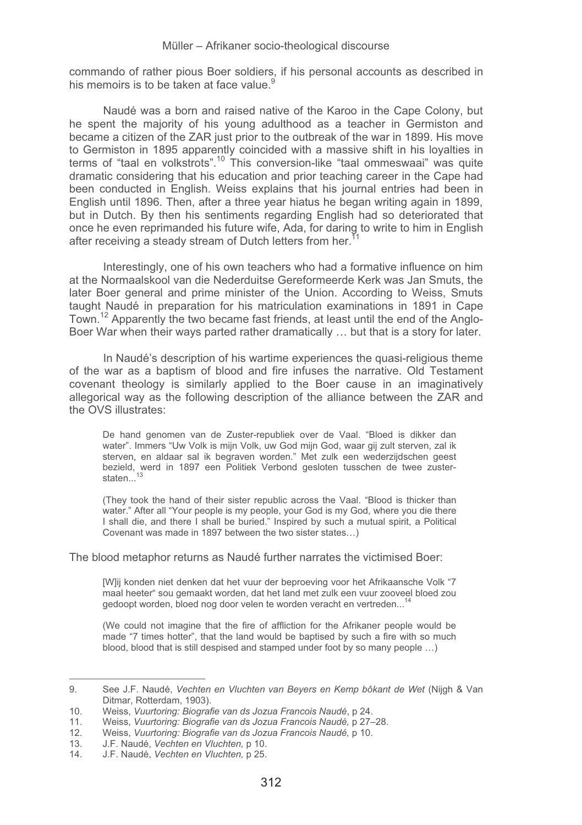commando of rather pious Boer soldiers, if his personal accounts as described in his memoirs is to be taken at face value.<sup>9</sup>

Naudé was a born and raised native of the Karoo in the Cape Colony, but he spent the majority of his young adulthood as a teacher in Germiston and became a citizen of the ZAR just prior to the outbreak of the war in 1899. His move to Germiston in 1895 apparently coincided with a massive shift in his loyalties in terms of "taal en volkstrots".10 This conversion-like "taal ommeswaai" was quite dramatic considering that his education and prior teaching career in the Cape had been conducted in English. Weiss explains that his journal entries had been in English until 1896. Then, after a three year hiatus he began writing again in 1899, but in Dutch. By then his sentiments regarding English had so deteriorated that once he even reprimanded his future wife, Ada, for daring to write to him in English after receiving a steady stream of Dutch letters from her.<sup>11</sup>

Interestingly, one of his own teachers who had a formative influence on him at the Normaalskool van die Nederduitse Gereformeerde Kerk was Jan Smuts, the later Boer general and prime minister of the Union. According to Weiss, Smuts taught Naudé in preparation for his matriculation examinations in 1891 in Cape Town.12 Apparently the two became fast friends, at least until the end of the Anglo-Boer War when their ways parted rather dramatically … but that is a story for later.

In Naudé's description of his wartime experiences the quasi-religious theme of the war as a baptism of blood and fire infuses the narrative. Old Testament covenant theology is similarly applied to the Boer cause in an imaginatively allegorical way as the following description of the alliance between the ZAR and the OVS illustrates:

De hand genomen van de Zuster-republiek over de Vaal. "Bloed is dikker dan water". Immers "Uw Volk is mijn Volk, uw God mijn God, waar gij zult sterven, zal ik sterven, en aldaar sal ik begraven worden." Met zulk een wederzijdschen geest bezield, werd in 1897 een Politiek Verbond gesloten tusschen de twee zusterstaten...<sup>13</sup>

(They took the hand of their sister republic across the Vaal. "Blood is thicker than water." After all "Your people is my people, your God is my God, where you die there I shall die, and there I shall be buried." Inspired by such a mutual spirit, a Political Covenant was made in 1897 between the two sister states…)

The blood metaphor returns as Naudé further narrates the victimised Boer:

[W]ij konden niet denken dat het vuur der beproeving voor het Afrikaansche Volk "7 maal heeter" sou gemaakt worden, dat het land met zulk een vuur zooveel bloed zou gedoopt worden, bloed nog door velen te worden veracht en vertreden...<sup>14</sup>

(We could not imagine that the fire of affliction for the Afrikaner people would be made "7 times hotter", that the land would be baptised by such a fire with so much blood, blood that is still despised and stamped under foot by so many people …)

<sup>-</sup>-------------------------------------------------------9. See J.F. Naudé, *Vechten en Vluchten van Beyers en Kemp bôkant de Wet* (Nijgh & Van Ditmar, Rotterdam, 1903).

<sup>10.</sup> Weiss, *Vuurtoring: Biografie van ds Jozua Francois Naudé*, p 24.

<sup>11.</sup> Weiss, *Vuurtoring: Biografie van ds Jozua Francois Naudé,* p 27–28. 12. Weiss, *Vuurtoring: Biografie van ds Jozua Francois Naudé,* p 10.

<sup>13.</sup> J.F. Naudé, *Vechten en Vluchten,* p 10.

<sup>14.</sup> J.F. Naudé, *Vechten en Vluchten,* p 25.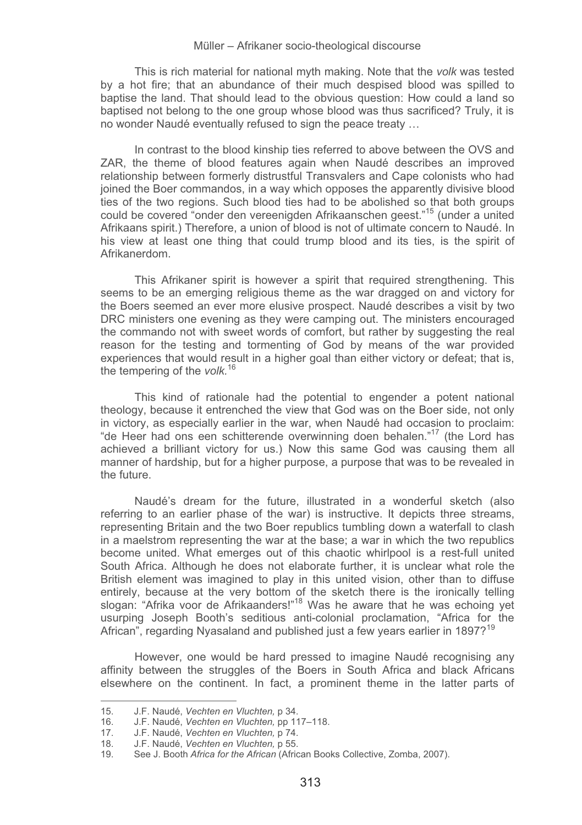This is rich material for national myth making. Note that the *volk* was tested by a hot fire; that an abundance of their much despised blood was spilled to baptise the land. That should lead to the obvious question: How could a land so baptised not belong to the one group whose blood was thus sacrificed? Truly, it is no wonder Naudé eventually refused to sign the peace treaty …

In contrast to the blood kinship ties referred to above between the OVS and ZAR, the theme of blood features again when Naudé describes an improved relationship between formerly distrustful Transvalers and Cape colonists who had joined the Boer commandos, in a way which opposes the apparently divisive blood ties of the two regions. Such blood ties had to be abolished so that both groups could be covered "onder den vereenigden Afrikaanschen geest."15 (under a united Afrikaans spirit.) Therefore, a union of blood is not of ultimate concern to Naudé. In his view at least one thing that could trump blood and its ties, is the spirit of Afrikanerdom.

This Afrikaner spirit is however a spirit that required strengthening. This seems to be an emerging religious theme as the war dragged on and victory for the Boers seemed an ever more elusive prospect. Naudé describes a visit by two DRC ministers one evening as they were camping out. The ministers encouraged the commando not with sweet words of comfort, but rather by suggesting the real reason for the testing and tormenting of God by means of the war provided experiences that would result in a higher goal than either victory or defeat; that is, the tempering of the *volk.*<sup>16</sup>

This kind of rationale had the potential to engender a potent national theology, because it entrenched the view that God was on the Boer side, not only in victory, as especially earlier in the war, when Naudé had occasion to proclaim: "de Heer had ons een schitterende overwinning doen behalen."17 (the Lord has achieved a brilliant victory for us.) Now this same God was causing them all manner of hardship, but for a higher purpose, a purpose that was to be revealed in the future.

Naudé's dream for the future, illustrated in a wonderful sketch (also referring to an earlier phase of the war) is instructive. It depicts three streams, representing Britain and the two Boer republics tumbling down a waterfall to clash in a maelstrom representing the war at the base; a war in which the two republics become united. What emerges out of this chaotic whirlpool is a rest-full united South Africa. Although he does not elaborate further, it is unclear what role the British element was imagined to play in this united vision, other than to diffuse entirely, because at the very bottom of the sketch there is the ironically telling slogan: "Afrika voor de Afrikaanders!"<sup>18</sup> Was he aware that he was echoing yet usurping Joseph Booth's seditious anti-colonial proclamation, "Africa for the African", regarding Nyasaland and published just a few years earlier in 1897?<sup>19</sup>

However, one would be hard pressed to imagine Naudé recognising any affinity between the struggles of the Boers in South Africa and black Africans elsewhere on the continent. In fact, a prominent theme in the latter parts of

<sup>-</sup>------------15. J.F. Naudé, *Vechten en Vluchten,* p 34.

<sup>16.</sup> J.F. Naudé, *Vechten en Vluchten,* pp 117–118.<br>17. J.F. Naudé, *Vechten en Vluchten,* p 74.

<sup>17.</sup> J.F. Naudé, *Vechten en Vluchten*, p<sup>74</sup>.<br>18. J.F. Naudé. *Vechten en Vluchten*, p55.

<sup>18.</sup> J.F. Naudé, *Vechten en Vluchten,* p 55.

<sup>19.</sup> See J. Booth *Africa for the African* (African Books Collective, Zomba, 2007).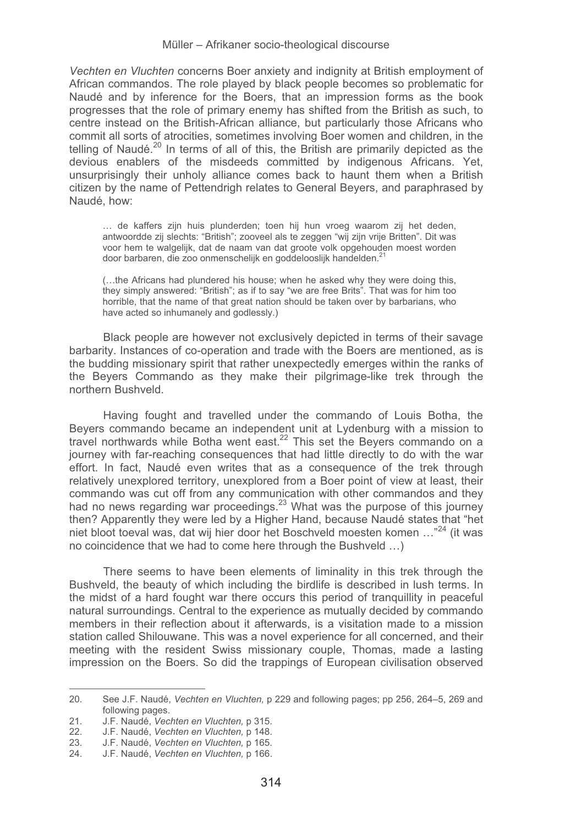*Vechten en Vluchten* concerns Boer anxiety and indignity at British employment of African commandos. The role played by black people becomes so problematic for Naudé and by inference for the Boers, that an impression forms as the book progresses that the role of primary enemy has shifted from the British as such, to centre instead on the British-African alliance, but particularly those Africans who commit all sorts of atrocities, sometimes involving Boer women and children, in the telling of Naudé.<sup>20</sup> In terms of all of this, the British are primarily depicted as the devious enablers of the misdeeds committed by indigenous Africans. Yet, unsurprisingly their unholy alliance comes back to haunt them when a British citizen by the name of Pettendrigh relates to General Beyers, and paraphrased by Naudé, how:

… de kaffers zijn huis plunderden; toen hij hun vroeg waarom zij het deden, antwoordde zij slechts: "British"; zooveel als te zeggen "wij zijn vrije Britten". Dit was voor hem te walgelijk, dat de naam van dat groote volk opgehouden moest worden door barbaren, die zoo onmenschelijk en goddelooslijk handelden.<sup>21</sup>

(…the Africans had plundered his house; when he asked why they were doing this, they simply answered: "British"; as if to say "we are free Brits". That was for him too horrible, that the name of that great nation should be taken over by barbarians, who have acted so inhumanely and godlessly.)

Black people are however not exclusively depicted in terms of their savage barbarity. Instances of co-operation and trade with the Boers are mentioned, as is the budding missionary spirit that rather unexpectedly emerges within the ranks of the Beyers Commando as they make their pilgrimage-like trek through the northern Bushveld.

Having fought and travelled under the commando of Louis Botha, the Beyers commando became an independent unit at Lydenburg with a mission to travel northwards while Botha went east.<sup>22</sup> This set the Beyers commando on a journey with far-reaching consequences that had little directly to do with the war effort. In fact, Naudé even writes that as a consequence of the trek through relatively unexplored territory, unexplored from a Boer point of view at least, their commando was cut off from any communication with other commandos and they had no news regarding war proceedings.<sup>23</sup> What was the purpose of this journey then? Apparently they were led by a Higher Hand, because Naudé states that "het niet bloot toeval was, dat wij hier door het Boschveld moesten komen …"24 (it was no coincidence that we had to come here through the Bushveld …)

There seems to have been elements of liminality in this trek through the Bushveld, the beauty of which including the birdlife is described in lush terms. In the midst of a hard fought war there occurs this period of tranquillity in peaceful natural surroundings. Central to the experience as mutually decided by commando members in their reflection about it afterwards, is a visitation made to a mission station called Shilouwane. This was a novel experience for all concerned, and their meeting with the resident Swiss missionary couple, Thomas, made a lasting impression on the Boers. So did the trappings of European civilisation observed

<sup>-</sup>-------------------------------------------------------20. See J.F. Naudé, *Vechten en Vluchten,* p 229 and following pages; pp 256, 264–5, 269 and following pages.

<sup>21.</sup> J.F. Naudé, *Vechten en Vluchten,* p 315.

<sup>22.</sup> J.F. Naudé, *Vechten en Vluchten,* p 148.

<sup>23.</sup> J.F. Naudé, *Vechten en Vluchten,* p 165.

<sup>24.</sup> J.F. Naudé, *Vechten en Vluchten,* p 166.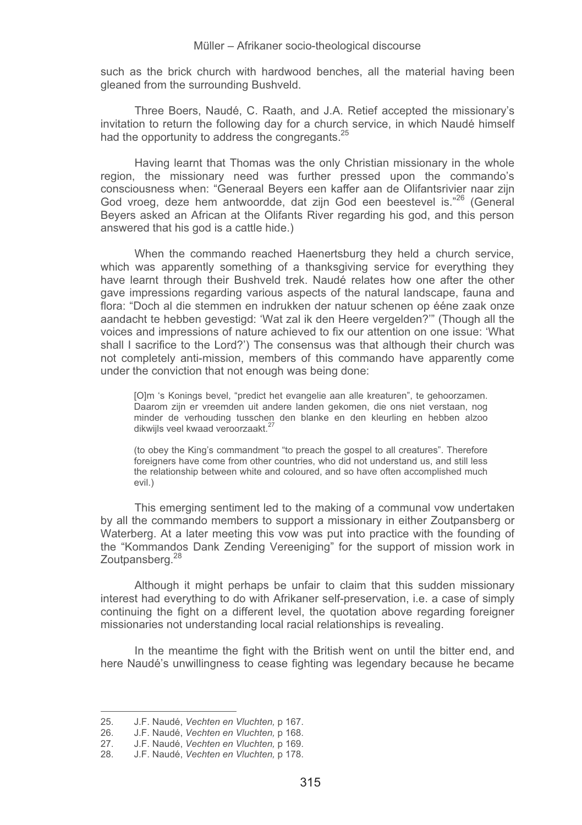such as the brick church with hardwood benches, all the material having been gleaned from the surrounding Bushveld.

Three Boers, Naudé, C. Raath, and J.A. Retief accepted the missionary's invitation to return the following day for a church service, in which Naudé himself had the opportunity to address the congregants.<sup>25</sup>

Having learnt that Thomas was the only Christian missionary in the whole region, the missionary need was further pressed upon the commando's consciousness when: "Generaal Beyers een kaffer aan de Olifantsrivier naar zijn God vroeg, deze hem antwoordde, dat zijn God een beestevel is."<sup>26</sup> (General Beyers asked an African at the Olifants River regarding his god, and this person answered that his god is a cattle hide.)

When the commando reached Haenertsburg they held a church service, which was apparently something of a thanksgiving service for everything they have learnt through their Bushveld trek. Naudé relates how one after the other gave impressions regarding various aspects of the natural landscape, fauna and flora: "Doch al die stemmen en indrukken der natuur schenen op ééne zaak onze aandacht te hebben gevestigd: 'Wat zal ik den Heere vergelden?'" (Though all the voices and impressions of nature achieved to fix our attention on one issue: 'What shall I sacrifice to the Lord?') The consensus was that although their church was not completely anti-mission, members of this commando have apparently come under the conviction that not enough was being done:

[O]m 's Konings bevel, "predict het evangelie aan alle kreaturen", te gehoorzamen. Daarom zijn er vreemden uit andere landen gekomen, die ons niet verstaan, nog minder de verhouding tusschen den blanke en den kleurling en hebben alzoo dikwijls veel kwaad veroorzaakt.<sup>27</sup>

(to obey the King's commandment "to preach the gospel to all creatures". Therefore foreigners have come from other countries, who did not understand us, and still less the relationship between white and coloured, and so have often accomplished much evil.)

This emerging sentiment led to the making of a communal vow undertaken by all the commando members to support a missionary in either Zoutpansberg or Waterberg. At a later meeting this vow was put into practice with the founding of the "Kommandos Dank Zending Vereeniging" for the support of mission work in Zoutpansberg.<sup>28</sup>

Although it might perhaps be unfair to claim that this sudden missionary interest had everything to do with Afrikaner self-preservation, i.e. a case of simply continuing the fight on a different level, the quotation above regarding foreigner missionaries not understanding local racial relationships is revealing.

In the meantime the fight with the British went on until the bitter end, and here Naudé's unwillingness to cease fighting was legendary because he became

<sup>-</sup>------------<br>25. J.F. Naudé, *Vechten en Vluchten,* p 167.

<sup>26.</sup> J.F. Naudé, *Vechten en Vluchten,* p 168. 27. J.F. Naudé, *Vechten en Vluchten,* p 169.

<sup>28.</sup> J.F. Naudé, *Vechten en Vluchten,* p 178.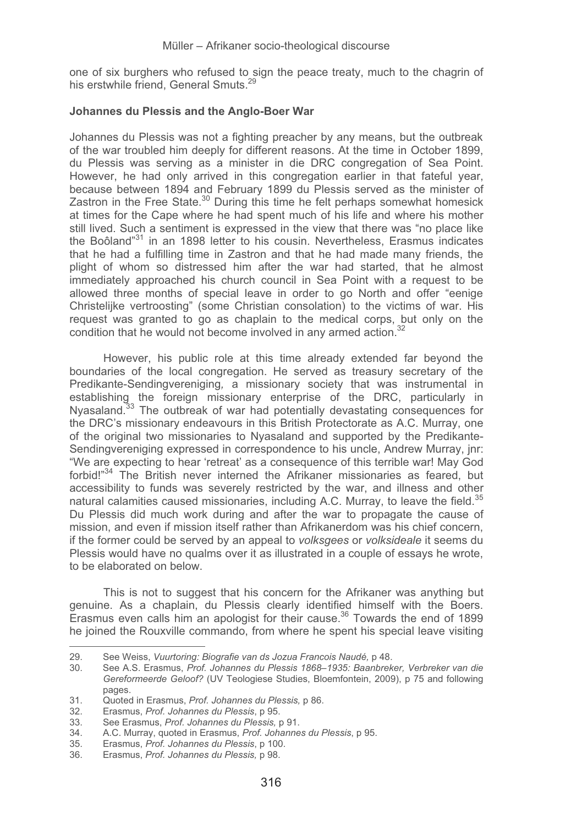one of six burghers who refused to sign the peace treaty, much to the chagrin of his erstwhile friend, General Smuts.<sup>29</sup>

### **Johannes du Plessis and the Anglo-Boer War**

Johannes du Plessis was not a fighting preacher by any means, but the outbreak of the war troubled him deeply for different reasons. At the time in October 1899, du Plessis was serving as a minister in die DRC congregation of Sea Point. However, he had only arrived in this congregation earlier in that fateful year, because between 1894 and February 1899 du Plessis served as the minister of Zastron in the Free State. $30$  During this time he felt perhaps somewhat homesick at times for the Cape where he had spent much of his life and where his mother still lived. Such a sentiment is expressed in the view that there was "no place like the Boôland<sup>"31</sup> in an 1898 letter to his cousin. Nevertheless, Erasmus indicates that he had a fulfilling time in Zastron and that he had made many friends, the plight of whom so distressed him after the war had started, that he almost immediately approached his church council in Sea Point with a request to be allowed three months of special leave in order to go North and offer "eenige Christelijke vertroosting" (some Christian consolation) to the victims of war. His request was granted to go as chaplain to the medical corps, but only on the condition that he would not become involved in any armed action.<sup>32</sup>

However, his public role at this time already extended far beyond the boundaries of the local congregation. He served as treasury secretary of the Predikante-Sendingvereniging*,* a missionary society that was instrumental in establishing the foreign missionary enterprise of the DRC, particularly in Nyasaland.<sup>33</sup> The outbreak of war had potentially devastating consequences for the DRC's missionary endeavours in this British Protectorate as A.C. Murray, one of the original two missionaries to Nyasaland and supported by the Predikante-Sendingvereniging expressed in correspondence to his uncle, Andrew Murray, jnr: "We are expecting to hear 'retreat' as a consequence of this terrible war! May God forbid!"34 The British never interned the Afrikaner missionaries as feared, but accessibility to funds was severely restricted by the war, and illness and other natural calamities caused missionaries, including A.C. Murray, to leave the field. $35$ Du Plessis did much work during and after the war to propagate the cause of mission, and even if mission itself rather than Afrikanerdom was his chief concern, if the former could be served by an appeal to *volksgees* or *volksideale* it seems du Plessis would have no qualms over it as illustrated in a couple of essays he wrote, to be elaborated on below.

This is not to suggest that his concern for the Afrikaner was anything but genuine. As a chaplain, du Plessis clearly identified himself with the Boers. Erasmus even calls him an apologist for their cause. $36$  Towards the end of 1899 he joined the Rouxville commando, from where he spent his special leave visiting

<sup>-</sup>------------------------------------------------------- 29. See Weiss, *Vuurtoring: Biografie van ds Jozua Francois Naudé,* p 48.

<sup>30.</sup> See A.S. Erasmus, *Prof. Johannes du Plessis 1868–1935: Baanbreker, Verbreker van die Gereformeerde Geloof?* (UV Teologiese Studies, Bloemfontein, 2009), p 75 and following pages.

<sup>31.</sup> Quoted in Erasmus, *Prof. Johannes du Plessis,* p 86.

<sup>32.</sup> Erasmus, *Prof. Johannes du Plessis*, p 95.

<sup>33.</sup> See Erasmus, *Prof. Johannes du Plessis,* p 91. 34. A.C. Murray, quoted in Erasmus, *Prof. Johannes du Plessis*, p 95.

<sup>35.</sup> Erasmus, *Prof. Johannes du Plessis*, p 100.

<sup>36.</sup> Erasmus, *Prof. Johannes du Plessis,* p 98.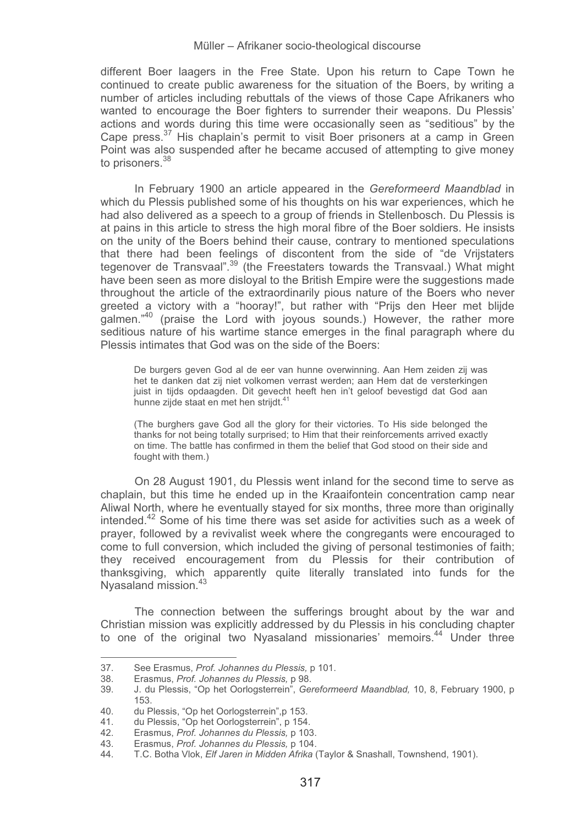different Boer laagers in the Free State. Upon his return to Cape Town he continued to create public awareness for the situation of the Boers, by writing a number of articles including rebuttals of the views of those Cape Afrikaners who wanted to encourage the Boer fighters to surrender their weapons. Du Plessis' actions and words during this time were occasionally seen as "seditious" by the Cape press. $37$  His chaplain's permit to visit Boer prisoners at a camp in Green Point was also suspended after he became accused of attempting to give money to prisoners.<sup>38</sup>

In February 1900 an article appeared in the *Gereformeerd Maandblad* in which du Plessis published some of his thoughts on his war experiences, which he had also delivered as a speech to a group of friends in Stellenbosch. Du Plessis is at pains in this article to stress the high moral fibre of the Boer soldiers. He insists on the unity of the Boers behind their cause, contrary to mentioned speculations that there had been feelings of discontent from the side of "de Vrijstaters tegenover de Transvaal".<sup>39</sup> (the Freestaters towards the Transvaal.) What might have been seen as more disloval to the British Empire were the suggestions made throughout the article of the extraordinarily pious nature of the Boers who never greeted a victory with a "hooray!", but rather with "Prijs den Heer met blijde galmen."40 (praise the Lord with joyous sounds.) However, the rather more seditious nature of his wartime stance emerges in the final paragraph where du Plessis intimates that God was on the side of the Boers:

De burgers geven God al de eer van hunne overwinning. Aan Hem zeiden zij was het te danken dat zij niet volkomen verrast werden; aan Hem dat de versterkingen juist in tijds opdaagden. Dit gevecht heeft hen in't geloof bevestigd dat God aan hunne zijde staat en met hen strijdt.<sup>4</sup>

(The burghers gave God all the glory for their victories. To His side belonged the thanks for not being totally surprised; to Him that their reinforcements arrived exactly on time. The battle has confirmed in them the belief that God stood on their side and fought with them.)

On 28 August 1901, du Plessis went inland for the second time to serve as chaplain, but this time he ended up in the Kraaifontein concentration camp near Aliwal North, where he eventually stayed for six months, three more than originally intended. $42$  Some of his time there was set aside for activities such as a week of prayer, followed by a revivalist week where the congregants were encouraged to come to full conversion, which included the giving of personal testimonies of faith; they received encouragement from du Plessis for their contribution of thanksgiving, which apparently quite literally translated into funds for the Nyasaland mission.<sup>43</sup>

The connection between the sufferings brought about by the war and Christian mission was explicitly addressed by du Plessis in his concluding chapter to one of the original two Nyasaland missionaries' memoirs.<sup>44</sup> Under three

<sup>-</sup>-------------------------------------------------------37. See Erasmus, *Prof. Johannes du Plessis,* p 101.

<sup>38.</sup> Erasmus, *Prof. Johannes du Plessis,* p 98.

<sup>39.</sup> J. du Plessis, "Op het Oorlogsterrein", *Gereformeerd Maandblad,* 10, 8, February 1900, p 153.

<sup>40.</sup> du Plessis, "Op het Oorlogsterrein", p 153.<br>41. du Plessis, "Op het Oorlogsterrein", p 154. 41. du Plessis, "Op het Oorlogsterrein", p 154.

<sup>42.</sup> Erasmus, *Prof. Johannes du Plessis,* p 103.

<sup>43.</sup> Erasmus, *Prof. Johannes du Plessis,* p 104.

<sup>44.</sup> T.C. Botha Vlok, *Elf Jaren in Midden Afrika* (Taylor & Snashall, Townshend, 1901).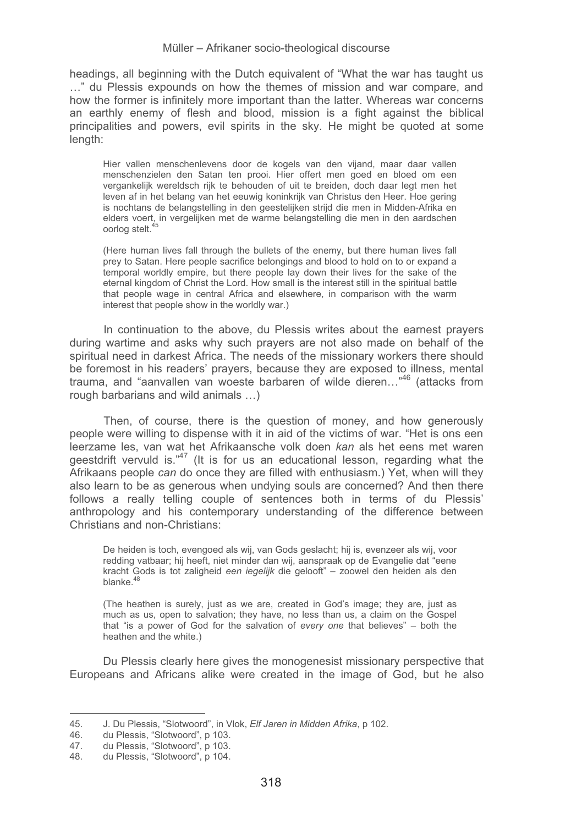headings, all beginning with the Dutch equivalent of "What the war has taught us …" du Plessis expounds on how the themes of mission and war compare, and how the former is infinitely more important than the latter. Whereas war concerns an earthly enemy of flesh and blood, mission is a fight against the biblical principalities and powers, evil spirits in the sky. He might be quoted at some length:

Hier vallen menschenlevens door de kogels van den vijand, maar daar vallen menschenzielen den Satan ten prooi. Hier offert men goed en bloed om een vergankelijk wereldsch rijk te behouden of uit te breiden, doch daar legt men het leven af in het belang van het eeuwig koninkrijk van Christus den Heer. Hoe gering is nochtans de belangstelling in den geestelijken strijd die men in Midden-Afrika en elders voert, in vergelijken met de warme belangstelling die men in den aardschen oorlog stelt.<sup>4</sup>

(Here human lives fall through the bullets of the enemy, but there human lives fall prey to Satan. Here people sacrifice belongings and blood to hold on to or expand a temporal worldly empire, but there people lay down their lives for the sake of the eternal kingdom of Christ the Lord. How small is the interest still in the spiritual battle that people wage in central Africa and elsewhere, in comparison with the warm interest that people show in the worldly war.)

In continuation to the above, du Plessis writes about the earnest prayers during wartime and asks why such prayers are not also made on behalf of the spiritual need in darkest Africa. The needs of the missionary workers there should be foremost in his readers' prayers, because they are exposed to illness, mental trauma, and "aanvallen van woeste barbaren of wilde dieren…"46 (attacks from rough barbarians and wild animals …)

Then, of course, there is the question of money, and how generously people were willing to dispense with it in aid of the victims of war. "Het is ons een leerzame les, van wat het Afrikaansche volk doen *kan* als het eens met waren geestdrift vervuld is.<sup>"47</sup> (It is for us an educational lesson, regarding what the Afrikaans people *can* do once they are filled with enthusiasm.) Yet, when will they also learn to be as generous when undying souls are concerned? And then there follows a really telling couple of sentences both in terms of du Plessis' anthropology and his contemporary understanding of the difference between Christians and non-Christians:

De heiden is toch, evengoed als wij, van Gods geslacht; hij is, evenzeer als wij, voor redding vatbaar; hij heeft, niet minder dan wij, aanspraak op de Evangelie dat "eene kracht Gods is tot zaligheid *een iegelijk* die gelooft" – zoowel den heiden als den blanke.<sup>48</sup>

(The heathen is surely, just as we are, created in God's image; they are, just as much as us, open to salvation; they have, no less than us, a claim on the Gospel that "is a power of God for the salvation of *every one* that believes" – both the heathen and the white.)

Du Plessis clearly here gives the monogenesist missionary perspective that Europeans and Africans alike were created in the image of God, but he also

<sup>-</sup>-------------------------------------------------------45. J. Du Plessis, "Slotwoord", in Vlok, *Elf Jaren in Midden Afrika*, p 102.

<sup>46.</sup> du Plessis, "Slotwoord", p 103.<br>47. du Plessis, "Slotwoord", p 103.

<sup>47.</sup> du Plessis, "Slotwoord", p 103.<br>48. du Plessis, "Slotwoord" p 104.

du Plessis, "Slotwoord", p 104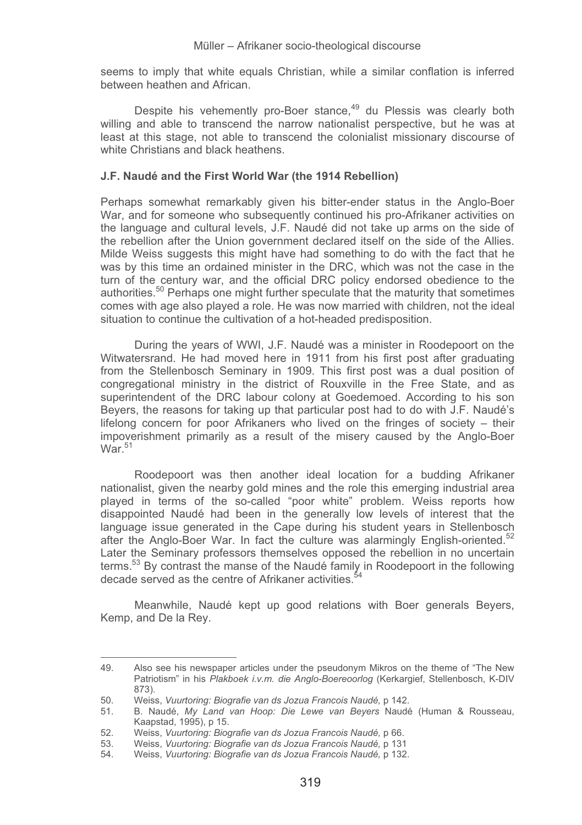seems to imply that white equals Christian, while a similar conflation is inferred between heathen and African.

Despite his vehemently pro-Boer stance,<sup>49</sup> du Plessis was clearly both willing and able to transcend the narrow nationalist perspective, but he was at least at this stage, not able to transcend the colonialist missionary discourse of white Christians and black heathens.

### **J.F. Naudé and the First World War (the 1914 Rebellion)**

Perhaps somewhat remarkably given his bitter-ender status in the Anglo-Boer War, and for someone who subsequently continued his pro-Afrikaner activities on the language and cultural levels, J.F. Naudé did not take up arms on the side of the rebellion after the Union government declared itself on the side of the Allies. Milde Weiss suggests this might have had something to do with the fact that he was by this time an ordained minister in the DRC, which was not the case in the turn of the century war, and the official DRC policy endorsed obedience to the authorities.<sup>50</sup> Perhaps one might further speculate that the maturity that sometimes comes with age also played a role. He was now married with children, not the ideal situation to continue the cultivation of a hot-headed predisposition.

During the years of WWI, J.F. Naudé was a minister in Roodepoort on the Witwatersrand. He had moved here in 1911 from his first post after graduating from the Stellenbosch Seminary in 1909. This first post was a dual position of congregational ministry in the district of Rouxville in the Free State, and as superintendent of the DRC labour colony at Goedemoed. According to his son Beyers, the reasons for taking up that particular post had to do with J.F. Naudé's lifelong concern for poor Afrikaners who lived on the fringes of society – their impoverishment primarily as a result of the misery caused by the Anglo-Boer  $W<sub>2r</sub>$ <sup>51</sup>

Roodepoort was then another ideal location for a budding Afrikaner nationalist, given the nearby gold mines and the role this emerging industrial area played in terms of the so-called "poor white" problem. Weiss reports how disappointed Naudé had been in the generally low levels of interest that the language issue generated in the Cape during his student years in Stellenbosch after the Anglo-Boer War. In fact the culture was alarmingly English-oriented. $52$ Later the Seminary professors themselves opposed the rebellion in no uncertain terms.<sup>53</sup> By contrast the manse of the Naudé family in Roodepoort in the following decade served as the centre of Afrikaner activities.<sup>5</sup>

Meanwhile, Naudé kept up good relations with Boer generals Beyers, Kemp, and De la Rey.

 $\pm$ -------<br>49. Also see his newspaper articles under the pseudonym Mikros on the theme of "The New Patriotism" in his *Plakboek i.v.m. die Anglo-Boereoorlog* (Kerkargief, Stellenbosch, K-DIV 873).

<sup>50.</sup> Weiss, *Vuurtoring: Biografie van ds Jozua Francois Naudé,* p 142.

<sup>51.</sup> B. Naudé, *My Land van Hoop: Die Lewe van Beyers* Naudé (Human & Rousseau, Kaapstad, 1995), p 15.

<sup>52.</sup> Weiss, *Vuurtoring: Biografie van ds Jozua Francois Naudé,* p 66.

<sup>53.</sup> Weiss, *Vuurtoring: Biografie van ds Jozua Francois Naudé,* p 131

<sup>54.</sup> Weiss, *Vuurtoring: Biografie van ds Jozua Francois Naudé,* p 132.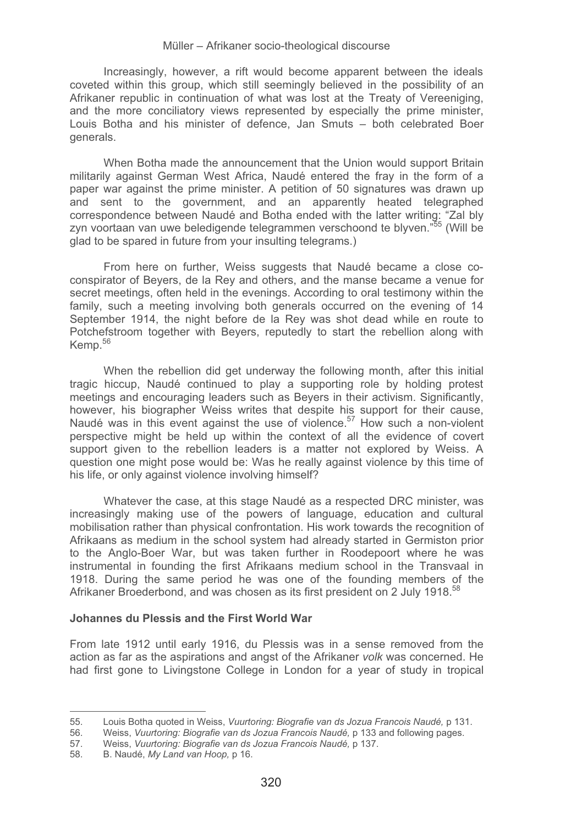Increasingly, however, a rift would become apparent between the ideals coveted within this group, which still seemingly believed in the possibility of an Afrikaner republic in continuation of what was lost at the Treaty of Vereeniging, and the more conciliatory views represented by especially the prime minister, Louis Botha and his minister of defence, Jan Smuts – both celebrated Boer generals.

When Botha made the announcement that the Union would support Britain militarily against German West Africa, Naudé entered the fray in the form of a paper war against the prime minister. A petition of 50 signatures was drawn up and sent to the government, and an apparently heated telegraphed correspondence between Naudé and Botha ended with the latter writing: "Zal bly zyn voortaan van uwe beledigende telegrammen verschoond te blyven."55 (Will be glad to be spared in future from your insulting telegrams.)

From here on further, Weiss suggests that Naudé became a close coconspirator of Beyers, de la Rey and others, and the manse became a venue for secret meetings, often held in the evenings. According to oral testimony within the family, such a meeting involving both generals occurred on the evening of 14 September 1914, the night before de la Rey was shot dead while en route to Potchefstroom together with Beyers, reputedly to start the rebellion along with Kemp.<sup>56</sup>

When the rebellion did get underway the following month, after this initial tragic hiccup, Naudé continued to play a supporting role by holding protest meetings and encouraging leaders such as Beyers in their activism. Significantly, however, his biographer Weiss writes that despite his support for their cause, Naudé was in this event against the use of violence.<sup>57</sup> How such a non-violent perspective might be held up within the context of all the evidence of covert support given to the rebellion leaders is a matter not explored by Weiss. A question one might pose would be: Was he really against violence by this time of his life, or only against violence involving himself?

Whatever the case, at this stage Naudé as a respected DRC minister, was increasingly making use of the powers of language, education and cultural mobilisation rather than physical confrontation. His work towards the recognition of Afrikaans as medium in the school system had already started in Germiston prior to the Anglo-Boer War, but was taken further in Roodepoort where he was instrumental in founding the first Afrikaans medium school in the Transvaal in 1918. During the same period he was one of the founding members of the Afrikaner Broederbond, and was chosen as its first president on 2 July 1918.<sup>58</sup>

#### **Johannes du Plessis and the First World War**

From late 1912 until early 1916, du Plessis was in a sense removed from the action as far as the aspirations and angst of the Afrikaner *volk* was concerned. He had first gone to Livingstone College in London for a year of study in tropical

<sup>-</sup>-------------------------------------------------------55. Louis Botha quoted in Weiss, *Vuurtoring: Biografie van ds Jozua Francois Naudé,* p 131.

<sup>56.</sup> Weiss, *Vuurtoring: Biografie van ds Jozua Francois Naudé,* p 133 and following pages.

<sup>57.</sup> Weiss, *Vuurtoring: Biografie van ds Jozua Francois Naudé,* p 137.

<sup>58.</sup> B. Naudé, *My Land van Hoop,* p 16.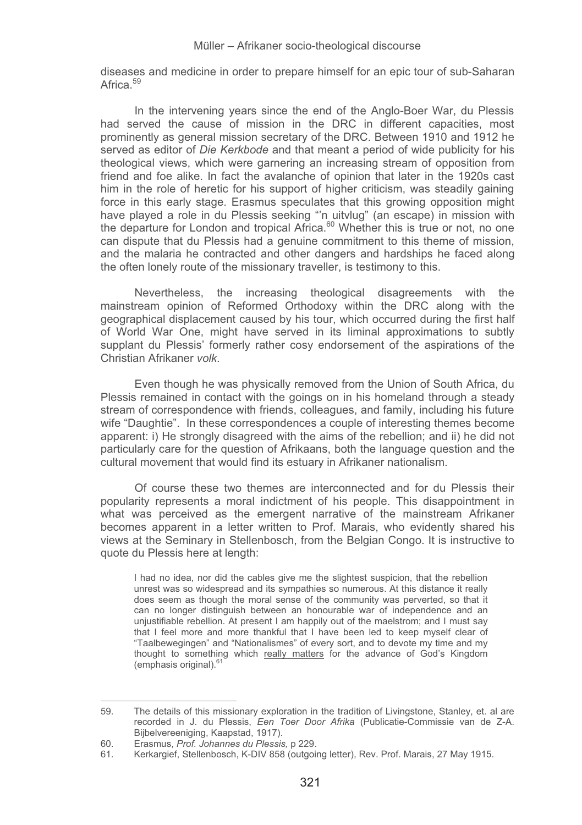diseases and medicine in order to prepare himself for an epic tour of sub-Saharan Africa.<sup>59</sup>

In the intervening years since the end of the Anglo-Boer War, du Plessis had served the cause of mission in the DRC in different capacities, most prominently as general mission secretary of the DRC. Between 1910 and 1912 he served as editor of *Die Kerkbode* and that meant a period of wide publicity for his theological views, which were garnering an increasing stream of opposition from friend and foe alike. In fact the avalanche of opinion that later in the 1920s cast him in the role of heretic for his support of higher criticism, was steadily gaining force in this early stage. Erasmus speculates that this growing opposition might have played a role in du Plessis seeking "'n uitvlug" (an escape) in mission with the departure for London and tropical Africa. $60$  Whether this is true or not, no one can dispute that du Plessis had a genuine commitment to this theme of mission, and the malaria he contracted and other dangers and hardships he faced along the often lonely route of the missionary traveller, is testimony to this.

Nevertheless, the increasing theological disagreements with the mainstream opinion of Reformed Orthodoxy within the DRC along with the geographical displacement caused by his tour, which occurred during the first half of World War One, might have served in its liminal approximations to subtly supplant du Plessis' formerly rather cosy endorsement of the aspirations of the Christian Afrikaner *volk*.

Even though he was physically removed from the Union of South Africa, du Plessis remained in contact with the goings on in his homeland through a steady stream of correspondence with friends, colleagues, and family, including his future wife "Daughtie". In these correspondences a couple of interesting themes become apparent: i) He strongly disagreed with the aims of the rebellion; and ii) he did not particularly care for the question of Afrikaans, both the language question and the cultural movement that would find its estuary in Afrikaner nationalism.

Of course these two themes are interconnected and for du Plessis their popularity represents a moral indictment of his people. This disappointment in what was perceived as the emergent narrative of the mainstream Afrikaner becomes apparent in a letter written to Prof. Marais, who evidently shared his views at the Seminary in Stellenbosch, from the Belgian Congo. It is instructive to quote du Plessis here at length:

I had no idea, nor did the cables give me the slightest suspicion, that the rebellion unrest was so widespread and its sympathies so numerous. At this distance it really does seem as though the moral sense of the community was perverted, so that it can no longer distinguish between an honourable war of independence and an unjustifiable rebellion. At present I am happily out of the maelstrom; and I must say that I feel more and more thankful that I have been led to keep myself clear of "Taalbewegingen" and "Nationalismes" of every sort, and to devote my time and my thought to something which really matters for the advance of God's Kingdom (emphasis original).<sup>61</sup>

<sup>-</sup>-------------------------------------------------------59. The details of this missionary exploration in the tradition of Livingstone, Stanley, et. al are recorded in J. du Plessis, *Een Toer Door Afrika* (Publicatie-Commissie van de Z-A. Bijbelvereeniging, Kaapstad, 1917).

<sup>60.</sup> Erasmus, *Prof. Johannes du Plessis,* p 229.

<sup>61.</sup> Kerkargief, Stellenbosch, K-DIV 858 (outgoing letter), Rev. Prof. Marais, 27 May 1915.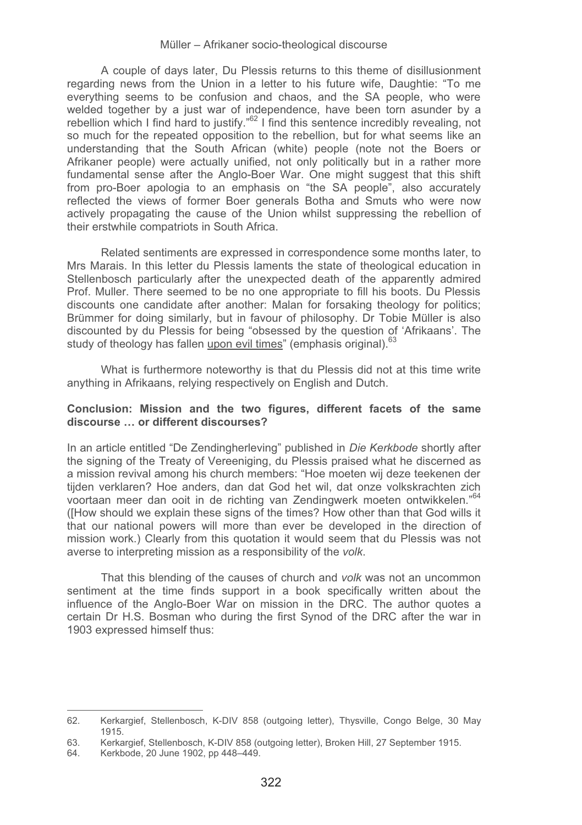A couple of days later, Du Plessis returns to this theme of disillusionment regarding news from the Union in a letter to his future wife, Daughtie: "To me everything seems to be confusion and chaos, and the SA people, who were welded together by a just war of independence, have been torn asunder by a rebellion which I find hard to justify."62 I find this sentence incredibly revealing, not so much for the repeated opposition to the rebellion, but for what seems like an understanding that the South African (white) people (note not the Boers or Afrikaner people) were actually unified, not only politically but in a rather more fundamental sense after the Anglo-Boer War. One might suggest that this shift from pro-Boer apologia to an emphasis on "the SA people", also accurately reflected the views of former Boer generals Botha and Smuts who were now actively propagating the cause of the Union whilst suppressing the rebellion of their erstwhile compatriots in South Africa.

Related sentiments are expressed in correspondence some months later, to Mrs Marais. In this letter du Plessis laments the state of theological education in Stellenbosch particularly after the unexpected death of the apparently admired Prof. Muller. There seemed to be no one appropriate to fill his boots. Du Plessis discounts one candidate after another: Malan for forsaking theology for politics; Brümmer for doing similarly, but in favour of philosophy. Dr Tobie Müller is also discounted by du Plessis for being "obsessed by the question of 'Afrikaans'. The study of theology has fallen upon evil times" (emphasis original).<sup>63</sup>

What is furthermore noteworthy is that du Plessis did not at this time write anything in Afrikaans, relying respectively on English and Dutch.

### **Conclusion: Mission and the two figures, different facets of the same discourse … or different discourses?**

In an article entitled "De Zendingherleving" published in *Die Kerkbode* shortly after the signing of the Treaty of Vereeniging, du Plessis praised what he discerned as a mission revival among his church members: "Hoe moeten wij deze teekenen der tijden verklaren? Hoe anders, dan dat God het wil, dat onze volkskrachten zich voortaan meer dan ooit in de richting van Zendingwerk moeten ontwikkelen."<sup>64</sup> ([How should we explain these signs of the times? How other than that God wills it that our national powers will more than ever be developed in the direction of mission work.) Clearly from this quotation it would seem that du Plessis was not averse to interpreting mission as a responsibility of the *volk*.

That this blending of the causes of church and *volk* was not an uncommon sentiment at the time finds support in a book specifically written about the influence of the Anglo-Boer War on mission in the DRC. The author quotes a certain Dr H.S. Bosman who during the first Synod of the DRC after the war in 1903 expressed himself thus:

<sup>-</sup>------------------------------------------------------- 62. Kerkargief, Stellenbosch, K-DIV 858 (outgoing letter), Thysville, Congo Belge, 30 May 1915.

<sup>63.</sup> Kerkargief, Stellenbosch, K-DIV 858 (outgoing letter), Broken Hill, 27 September 1915.

<sup>64.</sup> Kerkbode, 20 June 1902, pp 448–449.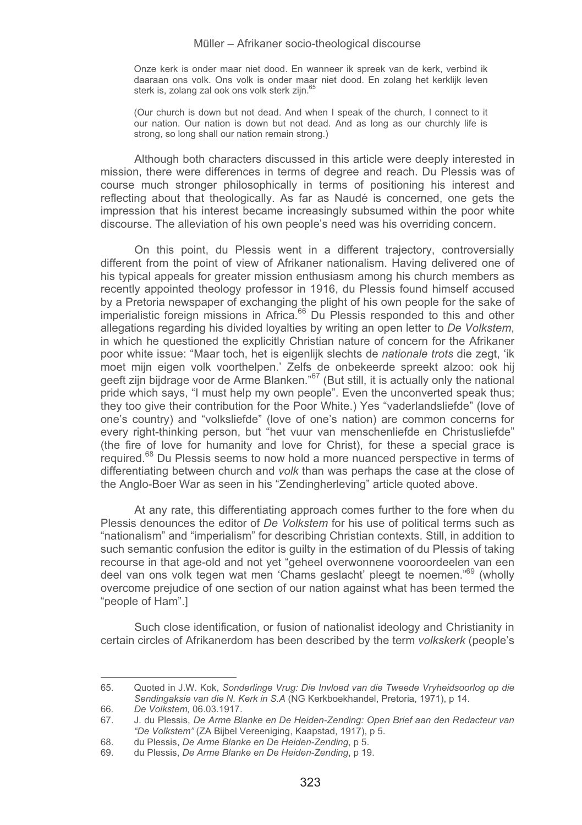Onze kerk is onder maar niet dood. En wanneer ik spreek van de kerk, verbind ik daaraan ons volk. Ons volk is onder maar niet dood. En zolang het kerklijk leven sterk is, zolang zal ook ons volk sterk zijn.<sup>65</sup>

(Our church is down but not dead. And when I speak of the church, I connect to it our nation. Our nation is down but not dead. And as long as our churchly life is strong, so long shall our nation remain strong.)

Although both characters discussed in this article were deeply interested in mission, there were differences in terms of degree and reach. Du Plessis was of course much stronger philosophically in terms of positioning his interest and reflecting about that theologically. As far as Naudé is concerned, one gets the impression that his interest became increasingly subsumed within the poor white discourse. The alleviation of his own people's need was his overriding concern.

On this point, du Plessis went in a different trajectory, controversially different from the point of view of Afrikaner nationalism. Having delivered one of his typical appeals for greater mission enthusiasm among his church members as recently appointed theology professor in 1916, du Plessis found himself accused by a Pretoria newspaper of exchanging the plight of his own people for the sake of<br>imperialistic foreign missions in Africa.<sup>66</sup> Du Plessis responded to this and other allegations regarding his divided loyalties by writing an open letter to *De Volkstem*, in which he questioned the explicitly Christian nature of concern for the Afrikaner poor white issue: "Maar toch, het is eigenlijk slechts de *nationale trots* die zegt, 'ik moet mijn eigen volk voorthelpen.' Zelfs de onbekeerde spreekt alzoo: ook hij geeft zijn bijdrage voor de Arme Blanken."<sup>67</sup> (But still, it is actually only the national pride which says, "I must help my own people". Even the unconverted speak thus; they too give their contribution for the Poor White.) Yes "vaderlandsliefde" (love of one's country) and "volksliefde" (love of one's nation) are common concerns for every right-thinking person, but "het vuur van menschenliefde en Christusliefde" (the fire of love for humanity and love for Christ), for these a special grace is required.<sup>68</sup> Du Plessis seems to now hold a more nuanced perspective in terms of differentiating between church and *volk* than was perhaps the case at the close of the Anglo-Boer War as seen in his "Zendingherleving" article quoted above.

At any rate, this differentiating approach comes further to the fore when du Plessis denounces the editor of *De Volkstem* for his use of political terms such as "nationalism" and "imperialism" for describing Christian contexts. Still, in addition to such semantic confusion the editor is guilty in the estimation of du Plessis of taking recourse in that age-old and not yet "geheel overwonnene vooroordeelen van een deel van ons volk tegen wat men 'Chams geslacht' pleegt te noemen."69 (wholly overcome prejudice of one section of our nation against what has been termed the "people of Ham".]

Such close identification, or fusion of nationalist ideology and Christianity in certain circles of Afrikanerdom has been described by the term *volkskerk* (people's

<sup>-</sup>-------------------------------------------------------65. Quoted in J.W. Kok, *Sonderlinge Vrug: Die Invloed van die Tweede Vryheidsoorlog op die Sendingaksie van die N. Kerk in S.A* (NG Kerkboekhandel, Pretoria, 1971), p 14.

<sup>66</sup>*. De Volkstem,* 06.03.1917.

<sup>67.</sup> J. du Plessis, *De Arme Blanke en De Heiden-Zending: Open Brief aan den Redacteur van "De Volkstem"* (ZA Bijbel Vereeniging, Kaapstad, 1917), p 5.

<sup>68.</sup> du Plessis, *De Arme Blanke en De Heiden-Zending*, p 5.

<sup>69.</sup> du Plessis, *De Arme Blanke en De Heiden-Zending*, p 19.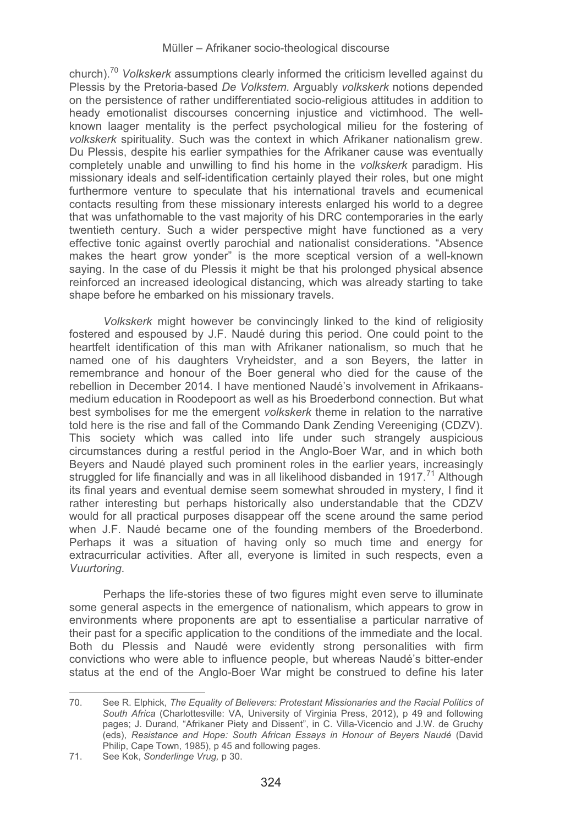church).70 *Volkskerk* assumptions clearly informed the criticism levelled against du Plessis by the Pretoria-based *De Volkstem.* Arguably *volkskerk* notions depended on the persistence of rather undifferentiated socio-religious attitudes in addition to heady emotionalist discourses concerning injustice and victimhood. The wellknown laager mentality is the perfect psychological milieu for the fostering of *volkskerk* spirituality. Such was the context in which Afrikaner nationalism grew. Du Plessis, despite his earlier sympathies for the Afrikaner cause was eventually completely unable and unwilling to find his home in the *volkskerk* paradigm. His missionary ideals and self-identification certainly played their roles, but one might furthermore venture to speculate that his international travels and ecumenical contacts resulting from these missionary interests enlarged his world to a degree that was unfathomable to the vast majority of his DRC contemporaries in the early twentieth century. Such a wider perspective might have functioned as a very effective tonic against overtly parochial and nationalist considerations. "Absence makes the heart grow yonder" is the more sceptical version of a well-known saying. In the case of du Plessis it might be that his prolonged physical absence reinforced an increased ideological distancing, which was already starting to take shape before he embarked on his missionary travels.

*Volkskerk* might however be convincingly linked to the kind of religiosity fostered and espoused by J.F. Naudé during this period. One could point to the heartfelt identification of this man with Afrikaner nationalism, so much that he named one of his daughters Vryheidster, and a son Beyers, the latter in remembrance and honour of the Boer general who died for the cause of the rebellion in December 2014. I have mentioned Naudé's involvement in Afrikaansmedium education in Roodepoort as well as his Broederbond connection. But what best symbolises for me the emergent *volkskerk* theme in relation to the narrative told here is the rise and fall of the Commando Dank Zending Vereeniging (CDZV). This society which was called into life under such strangely auspicious circumstances during a restful period in the Anglo-Boer War, and in which both Beyers and Naudé played such prominent roles in the earlier years, increasingly struggled for life financially and was in all likelihood disbanded in 1917.<sup>71</sup> Although its final years and eventual demise seem somewhat shrouded in mystery, I find it rather interesting but perhaps historically also understandable that the CDZV would for all practical purposes disappear off the scene around the same period when J.F. Naudé became one of the founding members of the Broederbond. Perhaps it was a situation of having only so much time and energy for extracurricular activities. After all, everyone is limited in such respects, even a *Vuurtoring*.

Perhaps the life-stories these of two figures might even serve to illuminate some general aspects in the emergence of nationalism, which appears to grow in environments where proponents are apt to essentialise a particular narrative of their past for a specific application to the conditions of the immediate and the local. Both du Plessis and Naudé were evidently strong personalities with firm convictions who were able to influence people, but whereas Naudé's bitter-ender status at the end of the Anglo-Boer War might be construed to define his later

<sup>-</sup>------------------------------------------------------- 70. See R. Elphick, *The Equality of Believers: Protestant Missionaries and the Racial Politics of South Africa* (Charlottesville: VA, University of Virginia Press, 2012), p 49 and following pages; J. Durand, "Afrikaner Piety and Dissent", in C. Villa-Vicencio and J.W. de Gruchy (eds), *Resistance and Hope: South African Essays in Honour of Beyers Naudé* (David Philip, Cape Town, 1985), p 45 and following pages.

<sup>71.</sup> See Kok, *Sonderlinge Vrug,* p 30.